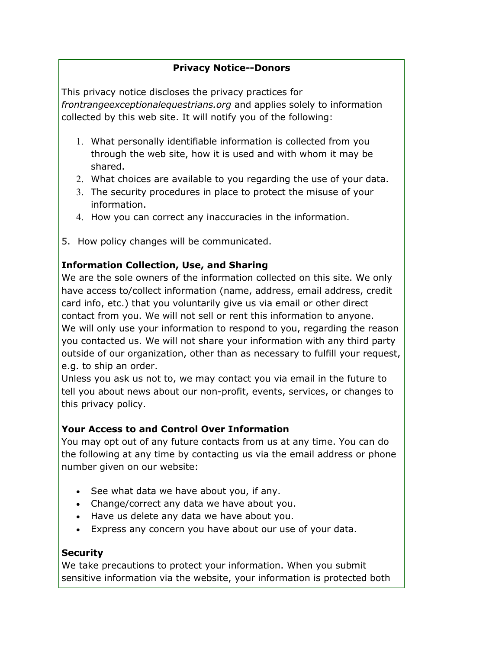# **Privacy Notice--Donors**

This privacy notice discloses the privacy practices for *frontrangeexceptionalequestrians.org* and applies solely to information collected by this web site. It will notify you of the following:

- 1. What personally identifiable information is collected from you through the web site, how it is used and with whom it may be shared.
- 2. What choices are available to you regarding the use of your data.
- 3. The security procedures in place to protect the misuse of your information.
- 4. How you can correct any inaccuracies in the information.
- 5. How policy changes will be communicated.

## **Information Collection, Use, and Sharing**

We are the sole owners of the information collected on this site. We only have access to/collect information (name, address, email address, credit card info, etc.) that you voluntarily give us via email or other direct contact from you. We will not sell or rent this information to anyone. We will only use your information to respond to you, regarding the reason you contacted us. We will not share your information with any third party outside of our organization, other than as necessary to fulfill your request, e.g. to ship an order.

Unless you ask us not to, we may contact you via email in the future to tell you about news about our non-profit, events, services, or changes to this privacy policy.

## **Your Access to and Control Over Information**

You may opt out of any future contacts from us at any time. You can do the following at any time by contacting us via the email address or phone number given on our website:

- See what data we have about you, if any.
- Change/correct any data we have about you.
- Have us delete any data we have about you.
- Express any concern you have about our use of your data.

### **Security**

We take precautions to protect your information. When you submit sensitive information via the website, your information is protected both